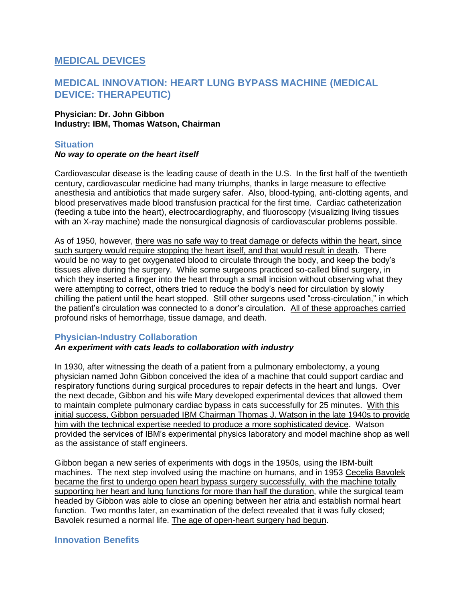# **MEDICAL DEVICES**

# **MEDICAL INNOVATION: HEART LUNG BYPASS MACHINE (MEDICAL DEVICE: THERAPEUTIC)**

#### **Physician: Dr. John Gibbon Industry: IBM, Thomas Watson, Chairman**

#### **Situation**

#### *No way to operate on the heart itself*

Cardiovascular disease is the leading cause of death in the U.S. In the first half of the twentieth century, cardiovascular medicine had many triumphs, thanks in large measure to effective anesthesia and antibiotics that made surgery safer. Also, blood-typing, anti-clotting agents, and blood preservatives made blood transfusion practical for the first time. Cardiac catheterization (feeding a tube into the heart), electrocardiography, and fluoroscopy (visualizing living tissues with an X-ray machine) made the nonsurgical diagnosis of cardiovascular problems possible.

As of 1950, however, there was no safe way to treat damage or defects within the heart, since such surgery would require stopping the heart itself, and that would result in death. There would be no way to get oxygenated blood to circulate through the body, and keep the body's tissues alive during the surgery. While some surgeons practiced so-called blind surgery, in which they inserted a finger into the heart through a small incision without observing what they were attempting to correct, others tried to reduce the body's need for circulation by slowly chilling the patient until the heart stopped. Still other surgeons used "cross-circulation," in which the patient's circulation was connected to a donor's circulation. All of these approaches carried profound risks of hemorrhage, tissue damage, and death.

### **Physician-Industry Collaboration**

#### *An experiment with cats leads to collaboration with industry*

In 1930, after witnessing the death of a patient from a pulmonary embolectomy, a young physician named John Gibbon conceived the idea of a machine that could support cardiac and respiratory functions during surgical procedures to repair defects in the heart and lungs. Over the next decade, Gibbon and his wife Mary developed experimental devices that allowed them to maintain complete pulmonary cardiac bypass in cats successfully for 25 minutes. With this initial success, Gibbon persuaded IBM Chairman Thomas J. Watson in the late 1940s to provide him with the technical expertise needed to produce a more sophisticated device. Watson provided the services of IBM's experimental physics laboratory and model machine shop as well as the assistance of staff engineers.

Gibbon began a new series of experiments with dogs in the 1950s, using the IBM-built machines. The next step involved using the machine on humans, and in 1953 Cecelia Bavolek became the first to undergo open heart bypass surgery successfully, with the machine totally supporting her heart and lung functions for more than half the duration, while the surgical team headed by Gibbon was able to close an opening between her atria and establish normal heart function. Two months later, an examination of the defect revealed that it was fully closed; Bavolek resumed a normal life. The age of open-heart surgery had begun.

#### **Innovation Benefits**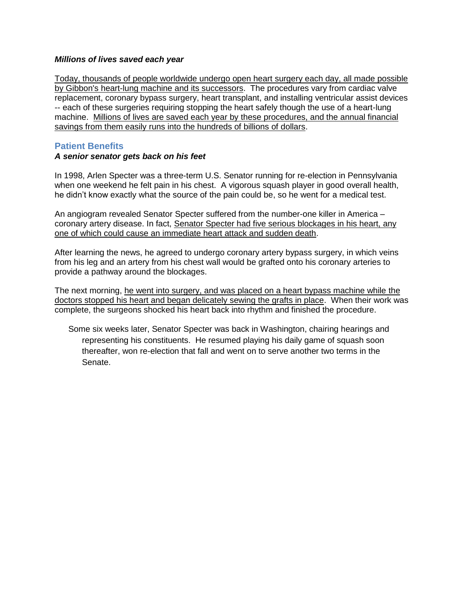#### *Millions of lives saved each year*

Today, thousands of people worldwide undergo open heart surgery each day, all made possible by Gibbon's heart-lung machine and its successors. The procedures vary from cardiac valve replacement, coronary bypass surgery, heart transplant, and installing ventricular assist devices -- each of these surgeries requiring stopping the heart safely though the use of a heart-lung machine. Millions of lives are saved each year by these procedures, and the annual financial savings from them easily runs into the hundreds of billions of dollars.

## **Patient Benefits**

### *A senior senator gets back on his feet*

In 1998, Arlen Specter was a three-term U.S. Senator running for re-election in Pennsylvania when one weekend he felt pain in his chest. A vigorous squash player in good overall health, he didn't know exactly what the source of the pain could be, so he went for a medical test.

An angiogram revealed Senator Specter suffered from the number-one killer in America – coronary artery disease. In fact, Senator Specter had five serious blockages in his heart, any one of which could cause an immediate heart attack and sudden death.

After learning the news, he agreed to undergo coronary artery bypass surgery, in which veins from his leg and an artery from his chest wall would be grafted onto his coronary arteries to provide a pathway around the blockages.

The next morning, he went into surgery, and was placed on a heart bypass machine while the doctors stopped his heart and began delicately sewing the grafts in place. When their work was complete, the surgeons shocked his heart back into rhythm and finished the procedure.

Some six weeks later, Senator Specter was back in Washington, chairing hearings and representing his constituents. He resumed playing his daily game of squash soon thereafter, won re-election that fall and went on to serve another two terms in the Senate.